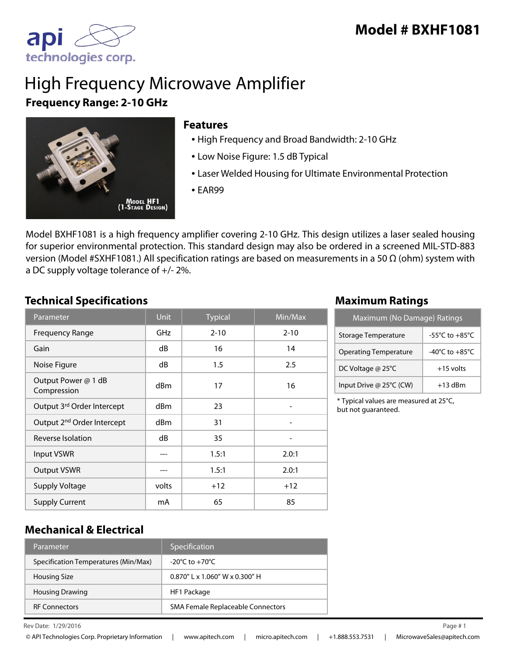

# High Frequency Microwave Amplifier **Frequency Range: 2-10 GHz**



#### **Features**

- High Frequency and Broad Bandwidth: 2-10 GHz
- Low Noise Figure: 1.5 dB Typical
- Laser Welded Housing for Ultimate Environmental Protection
- EAR99

Model BXHF1081 is a high frequency amplifier covering 2-10 GHz. This design utilizes a laser sealed housing for superior environmental protection. This standard design may also be ordered in a screened MIL-STD-883 version (Model #SXHF1081.) All specification ratings are based on measurements in a 50 Ω (ohm) system with a DC supply voltage tolerance of +/- 2%.

## **Technical Specifications Maximum Ratings**

| Parameter                              | <b>Unit</b>     | <b>Typical</b> | Min/Max  |
|----------------------------------------|-----------------|----------------|----------|
| <b>Frequency Range</b>                 | GHz             | $2 - 10$       | $2 - 10$ |
| Gain                                   | dB              | 16             | 14       |
| Noise Figure                           | dB              | 1.5            | 2.5      |
| Output Power @ 1 dB<br>Compression     | d <sub>Bm</sub> | 17             | 16       |
| Output 3rd Order Intercept             | dBm             | 23             |          |
| Output 2 <sup>nd</sup> Order Intercept | dBm             | 31             |          |
| Reverse Isolation                      | dB              | 35             |          |
| Input VSWR                             |                 | 1.5:1          | 2.0:1    |
| <b>Output VSWR</b>                     |                 | 1.5:1          | 2.0:1    |
| <b>Supply Voltage</b>                  | volts           | $+12$          | $+12$    |
| <b>Supply Current</b>                  | mA              | 65             | 85       |

| Maximum (No Damage) Ratings  |                                      |  |
|------------------------------|--------------------------------------|--|
| <b>Storage Temperature</b>   | -55°C to +85°C                       |  |
| <b>Operating Temperature</b> | -40 $^{\circ}$ C to +85 $^{\circ}$ C |  |
| DC Voltage @ 25°C            | $+15$ volts                          |  |
| Input Drive @ 25°C (CW)      | $+13$ dBm                            |  |

\* Typical values are measured at 25°C, but not guaranteed.

### **Mechanical & Electrical**

| Parameter                            | Specification                      |
|--------------------------------------|------------------------------------|
| Specification Temperatures (Min/Max) | $-20^{\circ}$ C to $+70^{\circ}$ C |
| Housing Size                         | $0.870''$ L x 1.060" W x 0.300" H  |
| <b>Housing Drawing</b>               | HF1 Package                        |
| <b>RF Connectors</b>                 | SMA Female Replaceable Connectors  |

 $\mu$  Rev Date:  $1/29/2016$  Page # 1

1/29/2016 1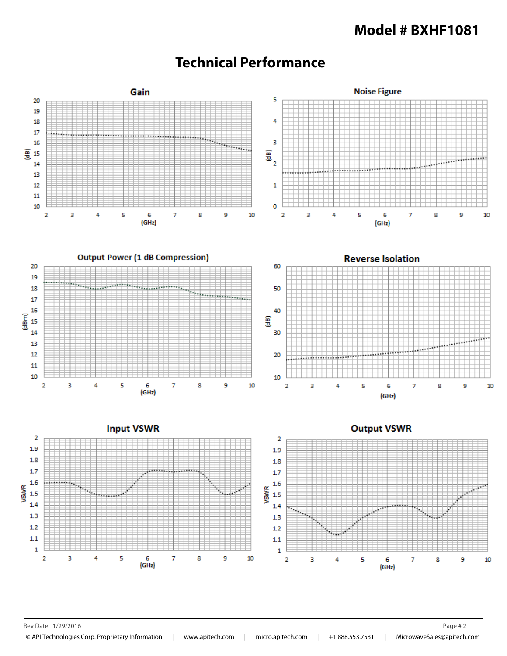## **Model # BXHF1081**



# **Technical Performance**

Rev Date: 1/29/2016 Page # 2

© API Technologies Corp. Proprietary Information | www.apitech.com | micro.apitech.com | +1.888.553.7531 | MicrowaveSales@apitech.com